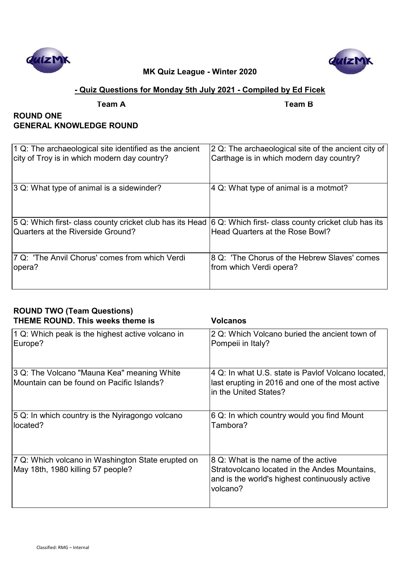



# **- Quiz Questions for Monday 5th July 2021 - Compiled by Ed Ficek**

**Team A Team B**

# **ROUND ONE GENERAL KNOWLEDGE ROUND**

| 1 Q: The archaeological site identified as the ancient   | 2 Q: The archaeological site of the ancient city of |
|----------------------------------------------------------|-----------------------------------------------------|
| city of Troy is in which modern day country?             | Carthage is in which modern day country?            |
| 3 Q: What type of animal is a sidewinder?                | 4 Q: What type of animal is a motmot?               |
| 5 Q: Which first- class county cricket club has its Head | 6 Q: Which first- class county cricket club has its |
| Quarters at the Riverside Ground?                        | Head Quarters at the Rose Bowl?                     |
| 7 Q: 'The Anvil Chorus' comes from which Verdi           | 8 Q: 'The Chorus of the Hebrew Slaves' comes        |
| opera?                                                   | from which Verdi opera?                             |

| <b>ROUND TWO (Team Questions)</b><br><b>THEME ROUND. This weeks theme is</b>            | <b>Volcanos</b>                                                                                                                                    |
|-----------------------------------------------------------------------------------------|----------------------------------------------------------------------------------------------------------------------------------------------------|
| 1 Q: Which peak is the highest active volcano in<br>Europe?                             | 2 Q: Which Volcano buried the ancient town of<br>Pompeii in Italy?                                                                                 |
| 3 Q: The Volcano "Mauna Kea" meaning White<br>Mountain can be found on Pacific Islands? | 4 Q: In what U.S. state is Pavlof Volcano located,<br>last erupting in 2016 and one of the most active<br>in the United States?                    |
| 5 Q: In which country is the Nyiragongo volcano<br>located?                             | 6 Q: In which country would you find Mount<br>Tambora?                                                                                             |
| 7 Q: Which volcano in Washington State erupted on<br>May 18th, 1980 killing 57 people?  | 8 Q: What is the name of the active<br>Stratovolcano located in the Andes Mountains,<br>and is the world's highest continuously active<br>volcano? |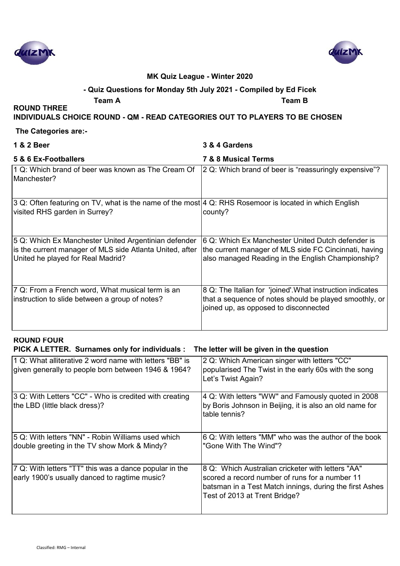



### **- Quiz Questions for Monday 5th July 2021 - Compiled by Ed Ficek**

**Team A Team B**

#### **INDIVIDUALS CHOICE ROUND - QM - READ CATEGORIES OUT TO PLAYERS TO BE CHOSEN**

#### **The Categories are:-**

**ROUND THREE** 

| 1 & 2 Beer                                                                                                                                            | 3 & 4 Gardens                                                                                                                                                   |
|-------------------------------------------------------------------------------------------------------------------------------------------------------|-----------------------------------------------------------------------------------------------------------------------------------------------------------------|
| 5 & 6 Ex-Footballers                                                                                                                                  | <b>7 &amp; 8 Musical Terms</b>                                                                                                                                  |
| 1 Q: Which brand of beer was known as The Cream Of<br>Manchester?                                                                                     | 2 Q: Which brand of beer is "reassuringly expensive"?                                                                                                           |
| 3 Q: Often featuring on TV, what is the name of the most 4 Q: RHS Rosemoor is located in which English<br>visited RHS garden in Surrey?               | county?                                                                                                                                                         |
| 5 Q: Which Ex Manchester United Argentinian defender<br>is the current manager of MLS side Atlanta United, after<br>United he played for Real Madrid? | 6 Q: Which Ex Manchester United Dutch defender is<br>the current manager of MLS side FC Cincinnati, having<br>also managed Reading in the English Championship? |
| 7 Q: From a French word, What musical term is an<br>instruction to slide between a group of notes?                                                    | 8 Q: The Italian for 'joined'. What instruction indicates<br>that a sequence of notes should be played smoothly, or<br>joined up, as opposed to disconnected    |

# **ROUND FOUR**

#### **PICK A LETTER. Surnames only for individuals : The letter will be given in the question**

| 1 Q: What alliterative 2 word name with letters "BB" is<br>given generally to people born between 1946 & 1964? | 2 Q: Which American singer with letters "CC"<br>popularised The Twist in the early 60s with the song<br>Let's Twist Again?                                                                      |
|----------------------------------------------------------------------------------------------------------------|-------------------------------------------------------------------------------------------------------------------------------------------------------------------------------------------------|
| 3 Q: With Letters "CC" - Who is credited with creating<br>the LBD (little black dress)?                        | 4 Q: With letters "WW" and Famously quoted in 2008<br>by Boris Johnson in Beijing, it is also an old name for<br>table tennis?                                                                  |
| 5 Q: With letters "NN" - Robin Williams used which<br>double greeting in the TV show Mork & Mindy?             | 6 Q: With letters "MM" who was the author of the book<br>"Gone With The Wind"?                                                                                                                  |
| 7 Q: With letters "TT" this was a dance popular in the<br>early 1900's usually danced to ragtime music?        | 8 Q: Which Australian cricketer with letters "AA"<br>scored a record number of runs for a number 11<br>batsman in a Test Match innings, during the first Ashes<br>Test of 2013 at Trent Bridge? |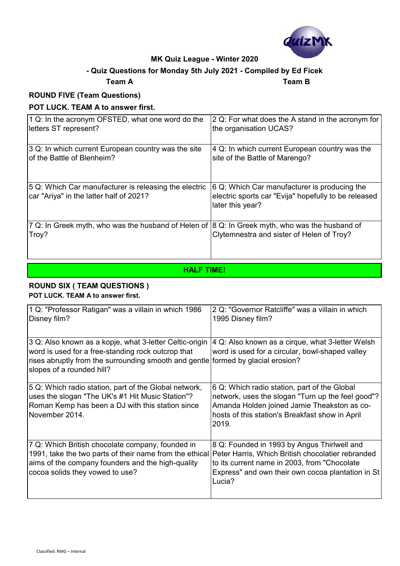

# **- Quiz Questions for Monday 5th July 2021 - Compiled by Ed Ficek**

# **Team A Team B**

# **ROUND FIVE (Team Questions)**

### **POT LUCK. TEAM A to answer first.**

| 1 Q: In the acronym OFSTED, what one word do the                                                        | 2 Q: For what does the A stand in the acronym for                                                                        |
|---------------------------------------------------------------------------------------------------------|--------------------------------------------------------------------------------------------------------------------------|
| letters ST represent?                                                                                   | the organisation UCAS?                                                                                                   |
| 3 Q: In which current European country was the site                                                     | $ 4 \, \text{Q}$ : In which current European country was the                                                             |
| of the Battle of Blenheim?                                                                              | site of the Battle of Marengo?                                                                                           |
| 5 Q: Which Car manufacturer is releasing the electric<br>car "Ariya" in the latter half of 2021?        | 6 Q: Which Car manufacturer is producing the<br>electric sports car "Evija" hopefully to be released<br>later this year? |
| 7 Q: In Greek myth, who was the husband of Helen of 8 Q: In Greek myth, who was the husband of<br>Troy? | Clytemnestra and sister of Helen of Troy?                                                                                |

# **HALF TIME!**

#### **ROUND SIX ( TEAM QUESTIONS ) POT LUCK. TEAM A to answer first.**

| 1 Q: "Professor Ratigan" was a villain in which 1986                                                      | 2 Q: "Governor Ratcliffe" was a villain in which  |
|-----------------------------------------------------------------------------------------------------------|---------------------------------------------------|
| Disney film?                                                                                              | 1995 Disney film?                                 |
|                                                                                                           |                                                   |
|                                                                                                           |                                                   |
| 3 Q: Also known as a kopje, what 3-letter Celtic-origin                                                   | 4 Q: Also known as a cirque, what 3-letter Welsh  |
| word is used for a free-standing rock outcrop that                                                        | word is used for a circular, bowl-shaped valley   |
| rises abruptly from the surrounding smooth and gentle formed by glacial erosion?                          |                                                   |
|                                                                                                           |                                                   |
| slopes of a rounded hill?                                                                                 |                                                   |
|                                                                                                           |                                                   |
| 5 Q: Which radio station, part of the Global network,                                                     | 6 Q: Which radio station, part of the Global      |
| uses the slogan "The UK's #1 Hit Music Station"?                                                          | network, uses the slogan "Turn up the feel good"? |
| Roman Kemp has been a DJ with this station since                                                          | Amanda Holden joined Jamie Theakston as co-       |
| November 2014.                                                                                            |                                                   |
|                                                                                                           | hosts of this station's Breakfast show in April   |
|                                                                                                           | 2019.                                             |
|                                                                                                           |                                                   |
| 7 Q: Which British chocolate company, founded in                                                          | 8 Q: Founded in 1993 by Angus Thirlwell and       |
| 1991, take the two parts of their name from the ethical Peter Harris, Which British chocolatier rebranded |                                                   |
|                                                                                                           |                                                   |
| aims of the company founders and the high-quality                                                         | to its current name in 2003, from "Chocolate"     |
| cocoa solids they vowed to use?                                                                           | Express" and own their own cocoa plantation in St |
|                                                                                                           | Lucia?                                            |
|                                                                                                           |                                                   |
|                                                                                                           |                                                   |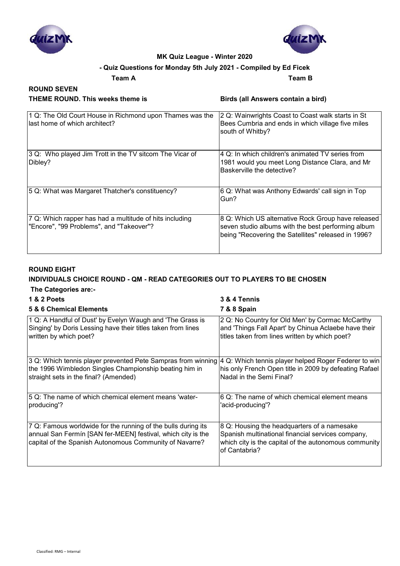

**ROUND SEVEN**



#### **MK Quiz League - Winter 2020**

#### **- Quiz Questions for Monday 5th July 2021 - Compiled by Ed Ficek**

**Team A Team B**

| THEME ROUND. This weeks theme is |  |
|----------------------------------|--|
|----------------------------------|--|

**Birds (all Answers contain a bird)** 

| 1 Q: The Old Court House in Richmond upon Thames was the<br>llast home of which architect?          | 2 Q: Wainwrights Coast to Coast walk starts in St<br>Bees Cumbria and ends in which village five miles<br>south of Whitby?                                      |
|-----------------------------------------------------------------------------------------------------|-----------------------------------------------------------------------------------------------------------------------------------------------------------------|
| 3 Q: Who played Jim Trott in the TV sitcom The Vicar of<br>Dibley?                                  | 4 Q: In which children's animated TV series from<br>1981 would you meet Long Distance Clara, and Mr<br>Baskerville the detective?                               |
| 5 Q: What was Margaret Thatcher's constituency?                                                     | 6 Q: What was Anthony Edwards' call sign in Top<br>Gun?                                                                                                         |
| 7 Q: Which rapper has had a multitude of hits including<br>"Encore", "99 Problems", and "Takeover"? | 8 Q: Which US alternative Rock Group have released<br>seven studio albums with the best performing album<br>being "Recovering the Satellites" released in 1996? |

#### **ROUND EIGHT**

#### **INDIVIDUALS CHOICE ROUND - QM - READ CATEGORIES OUT TO PLAYERS TO BE CHOSEN The Categories are:-**

| The categories are:-                                                                                                                                                                     |                                                                                                                                                                            |
|------------------------------------------------------------------------------------------------------------------------------------------------------------------------------------------|----------------------------------------------------------------------------------------------------------------------------------------------------------------------------|
| 1 & 2 Poets                                                                                                                                                                              | 3 & 4 Tennis                                                                                                                                                               |
| 5 & 6 Chemical Elements                                                                                                                                                                  | 7 & 8 Spain                                                                                                                                                                |
| 1 Q: A Handful of Dust' by Evelyn Waugh and 'The Grass is<br>Singing' by Doris Lessing have their titles taken from lines<br>written by which poet?                                      | 2 Q: No Country for Old Men' by Cormac McCarthy<br>and 'Things Fall Apart' by Chinua Aclaebe have their<br>titles taken from lines written by which poet?                  |
| 3 Q: Which tennis player prevented Pete Sampras from winning<br>the 1996 Wimbledon Singles Championship beating him in<br>straight sets in the final? (Amended)                          | 4 Q: Which tennis player helped Roger Federer to win<br>his only French Open title in 2009 by defeating Rafael<br>Nadal in the Semi Final?                                 |
| 5 Q: The name of which chemical element means 'water-<br>producing'?                                                                                                                     | 6 Q: The name of which chemical element means<br>'acid-producing'?                                                                                                         |
| 7 Q: Famous worldwide for the running of the bulls during its<br>annual San Fermín [SAN fer-MEEN] festival, which city is the<br>capital of the Spanish Autonomous Community of Navarre? | 8 Q: Housing the headquarters of a namesake<br>Spanish multinational financial services company,<br>which city is the capital of the autonomous community<br>of Cantabria? |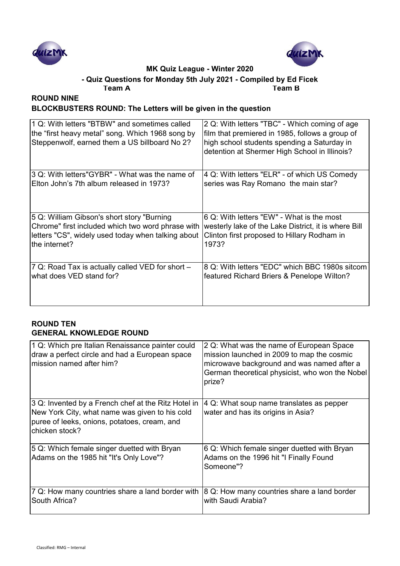



# **- Quiz Questions for Monday 5th July 2021 - Compiled by Ed Ficek**

**Team A Team B**

# **ROUND NINE BLOCKBUSTERS ROUND: The Letters will be given in the question**

| 1 Q: With letters "BTBW" and sometimes called<br>the "first heavy metal" song. Which 1968 song by<br>Steppenwolf, earned them a US billboard No 2? | 2 Q: With letters "TBC" - Which coming of age<br>film that premiered in 1985, follows a group of<br>high school students spending a Saturday in<br>detention at Shermer High School in Illinois? |
|----------------------------------------------------------------------------------------------------------------------------------------------------|--------------------------------------------------------------------------------------------------------------------------------------------------------------------------------------------------|
| 3 Q: With letters"GYBR" - What was the name of                                                                                                     | 4 Q: With letters "ELR" - of which US Comedy                                                                                                                                                     |
| Elton John's 7th album released in 1973?                                                                                                           | series was Ray Romano the main star?                                                                                                                                                             |
| 5 Q: William Gibson's short story "Burning"                                                                                                        | 6 Q: With letters "EW" - What is the most                                                                                                                                                        |
| Chrome" first included which two word phrase with                                                                                                  | westerly lake of the Lake District, it is where Bill                                                                                                                                             |
| letters "CS", widely used today when talking about<br>the internet?                                                                                | Clinton first proposed to Hillary Rodham in<br>1973?                                                                                                                                             |
| 7 Q: Road Tax is actually called VED for short -                                                                                                   | 8 Q: With letters "EDC" which BBC 1980s sitcom                                                                                                                                                   |
| what does VED stand for?                                                                                                                           | featured Richard Briers & Penelope Wilton?                                                                                                                                                       |

#### **ROUND TEN GENERAL KNOWLEDGE ROUND**

| 1 Q: Which pre Italian Renaissance painter could<br>draw a perfect circle and had a European space<br>mission named after him?                                          | 2 Q: What was the name of European Space<br>mission launched in 2009 to map the cosmic<br>microwave background and was named after a<br>German theoretical physicist, who won the Nobel<br>prize? |
|-------------------------------------------------------------------------------------------------------------------------------------------------------------------------|---------------------------------------------------------------------------------------------------------------------------------------------------------------------------------------------------|
| 3 Q: Invented by a French chef at the Ritz Hotel in<br>New York City, what name was given to his cold<br>puree of leeks, onions, potatoes, cream, and<br>chicken stock? | 4 Q: What soup name translates as pepper<br>water and has its origins in Asia?                                                                                                                    |
| 5 Q: Which female singer duetted with Bryan<br>Adams on the 1985 hit "It's Only Love"?                                                                                  | 6 Q: Which female singer duetted with Bryan<br>Adams on the 1996 hit "I Finally Found<br>Someone"?                                                                                                |
| 7 Q: How many countries share a land border with<br>South Africa?                                                                                                       | 8 Q: How many countries share a land border<br>with Saudi Arabia?                                                                                                                                 |